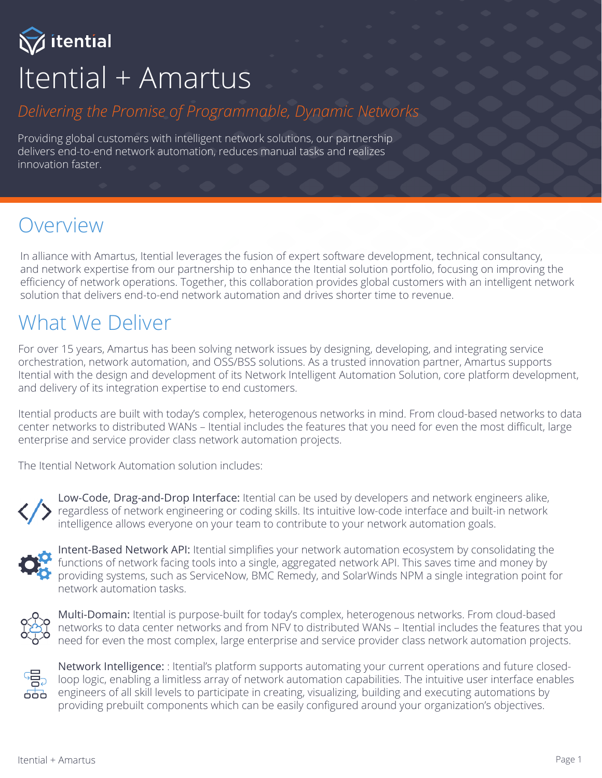Vitential Itential + Amartus

#### *Delivering the Promise of Programmable, Dynamic Networks*

Providing global customers with intelligent network solutions, our partnership delivers end-to-end network automation, reduces manual tasks and realizes innovation faster.

#### Overview

In alliance with Amartus, Itential leverages the fusion of expert software development, technical consultancy, and network expertise from our partnership to enhance the Itential solution portfolio, focusing on improving the efficiency of network operations. Together, this collaboration provides global customers with an intelligent network solution that delivers end-to-end network automation and drives shorter time to revenue.

## What We Deliver

For over 15 years, Amartus has been solving network issues by designing, developing, and integrating service orchestration, network automation, and OSS/BSS solutions. As a trusted innovation partner, Amartus supports Itential with the design and development of its Network Intelligent Automation Solution, core platform development, and delivery of its integration expertise to end customers.

Itential products are built with today's complex, heterogenous networks in mind. From cloud-based networks to data center networks to distributed WANs – Itential includes the features that you need for even the most difficult, large enterprise and service provider class network automation projects.

The Itential Network Automation solution includes:



Low-Code, Drag-and-Drop Interface: Itential can be used by developers and network engineers alike, regardless of network engineering or coding skills. Its intuitive low-code interface and built-in network intelligence allows everyone on your team to contribute to your network automation goals.



Intent-Based Network API: Itential simplifies your network automation ecosystem by consolidating the functions of network facing tools into a single, aggregated network API. This saves time and money by providing systems, such as ServiceNow, BMC Remedy, and SolarWinds NPM a single integration point for network automation tasks.



Multi-Domain: Itential is purpose-built for today's complex, heterogenous networks. From cloud-based networks to data center networks and from NFV to distributed WANs – Itential includes the features that you need for even the most complex, large enterprise and service provider class network automation projects.



Network Intelligence: : Itential's platform supports automating your current operations and future closedloop logic, enabling a limitless array of network automation capabilities. The intuitive user interface enables engineers of all skill levels to participate in creating, visualizing, building and executing automations by providing prebuilt components which can be easily configured around your organization's objectives.